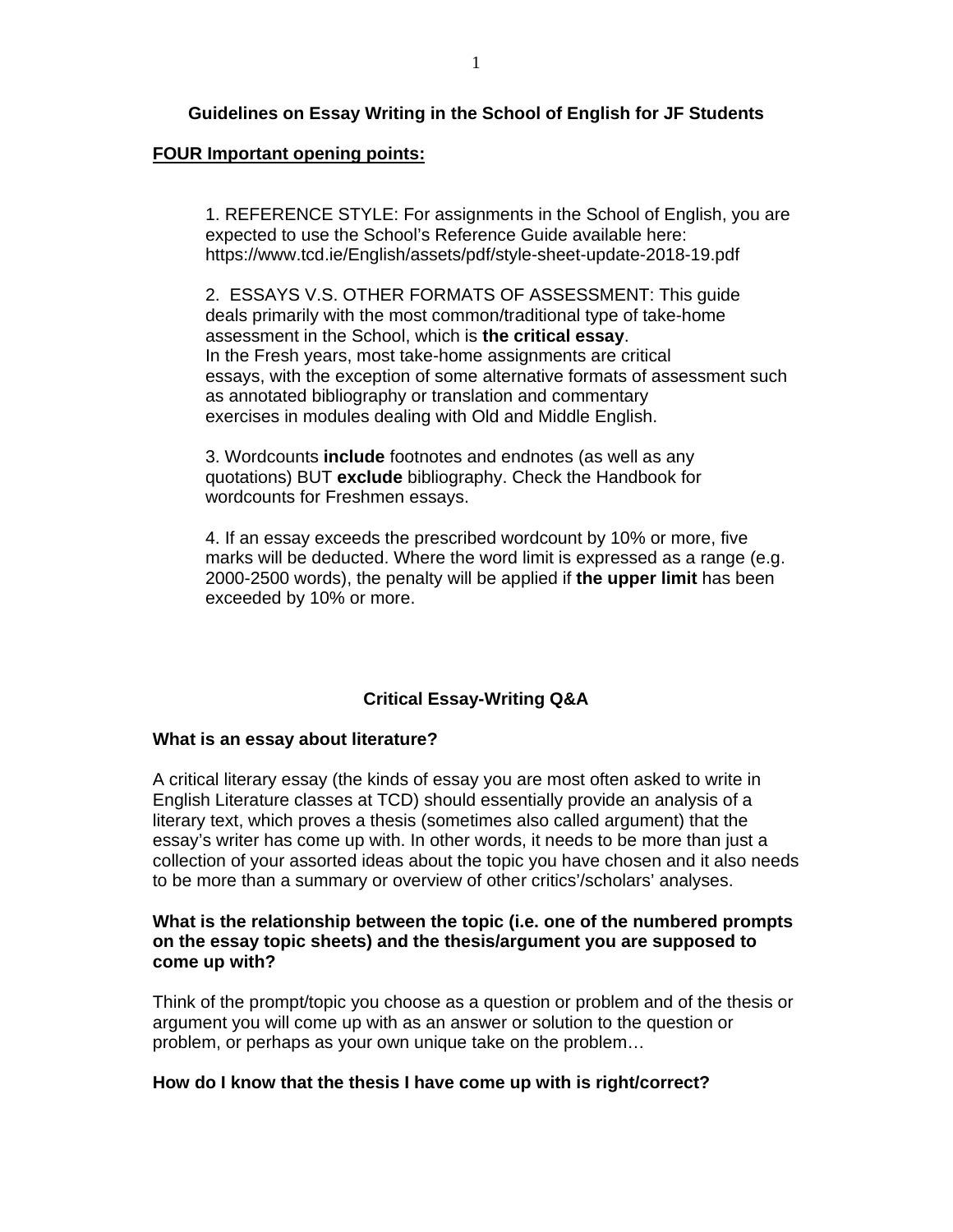# **Guidelines on Essay Writing in the School of English for JF Students**

### **FOUR Important opening points:**

 1. REFERENCE STYLE: For assignments in the School of English, you are expected to use the School's Reference Guide available here: https://www.tcd.ie/English/assets/pdf/style-sheet-update-2018-19.pdf

 2. ESSAYS V.S. OTHER FORMATS OF ASSESSMENT: This guide deals primarily with the most common/traditional type of take-home assessment in the School, which is **the critical essay**. In the Fresh years, most take-home assignments are critical essays, with the exception of some alternative formats of assessment such as annotated bibliography or translation and commentary exercises in modules dealing with Old and Middle English.

 3. Wordcounts **include** footnotes and endnotes (as well as any quotations) BUT **exclude** bibliography. Check the Handbook for wordcounts for Freshmen essays.

 4. If an essay exceeds the prescribed wordcount by 10% or more, five marks will be deducted. Where the word limit is expressed as a range (e.g. 2000-2500 words), the penalty will be applied if **the upper limit** has been exceeded by 10% or more.

# **Critical Essay-Writing Q&A**

#### **What is an essay about literature?**

A critical literary essay (the kinds of essay you are most often asked to write in English Literature classes at TCD) should essentially provide an analysis of a literary text, which proves a thesis (sometimes also called argument) that the essay's writer has come up with. In other words, it needs to be more than just a collection of your assorted ideas about the topic you have chosen and it also needs to be more than a summary or overview of other critics'/scholars' analyses.

### **What is the relationship between the topic (i.e. one of the numbered prompts on the essay topic sheets) and the thesis/argument you are supposed to come up with?**

Think of the prompt/topic you choose as a question or problem and of the thesis or argument you will come up with as an answer or solution to the question or problem, or perhaps as your own unique take on the problem…

### **How do I know that the thesis I have come up with is right/correct?**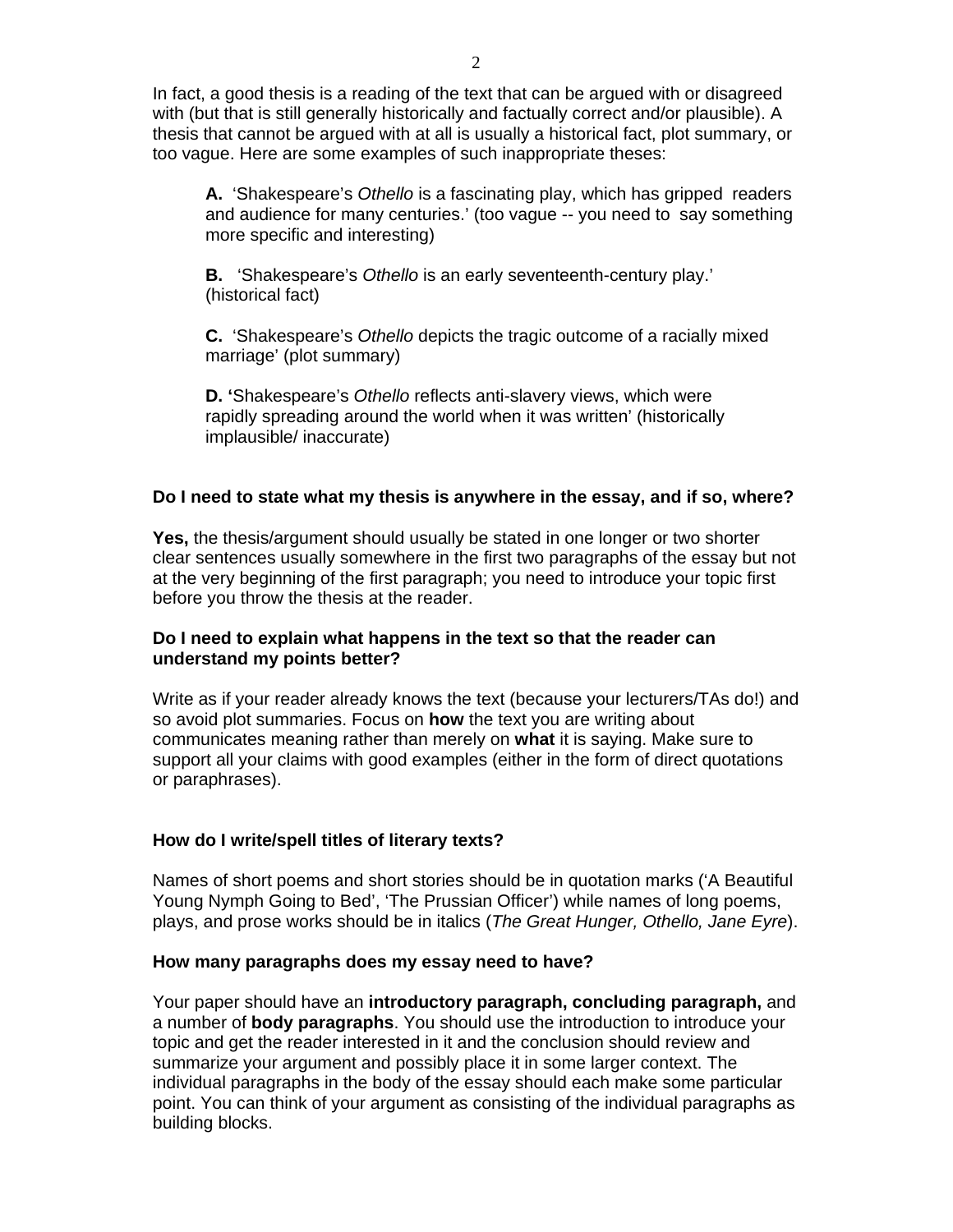In fact, a good thesis is a reading of the text that can be argued with or disagreed with (but that is still generally historically and factually correct and/or plausible). A thesis that cannot be argued with at all is usually a historical fact, plot summary, or too vague. Here are some examples of such inappropriate theses:

 **A.** 'Shakespeare's *Othello* is a fascinating play, which has gripped readers and audience for many centuries.' (too vague -- you need to say something more specific and interesting)

 **B.** 'Shakespeare's *Othello* is an early seventeenth-century play.' (historical fact)

 **C.** 'Shakespeare's *Othello* depicts the tragic outcome of a racially mixed marriage' (plot summary)

**D. '**Shakespeare's *Othello* reflects anti-slavery views, which were rapidly spreading around the world when it was written' (historically implausible/ inaccurate)

# **Do I need to state what my thesis is anywhere in the essay, and if so, where?**

**Yes,** the thesis/argument should usually be stated in one longer or two shorter clear sentences usually somewhere in the first two paragraphs of the essay but not at the very beginning of the first paragraph; you need to introduce your topic first before you throw the thesis at the reader.

# **Do I need to explain what happens in the text so that the reader can understand my points better?**

Write as if your reader already knows the text (because your lecturers/TAs do!) and so avoid plot summaries. Focus on **how** the text you are writing about communicates meaning rather than merely on **what** it is saying. Make sure to support all your claims with good examples (either in the form of direct quotations or paraphrases).

# **How do I write/spell titles of literary texts?**

Names of short poems and short stories should be in quotation marks ('A Beautiful Young Nymph Going to Bed', 'The Prussian Officer') while names of long poems, plays, and prose works should be in italics (*The Great Hunger, Othello, Jane Eyre*).

# **How many paragraphs does my essay need to have?**

Your paper should have an **introductory paragraph, concluding paragraph,** and a number of **body paragraphs**. You should use the introduction to introduce your topic and get the reader interested in it and the conclusion should review and summarize your argument and possibly place it in some larger context. The individual paragraphs in the body of the essay should each make some particular point. You can think of your argument as consisting of the individual paragraphs as building blocks.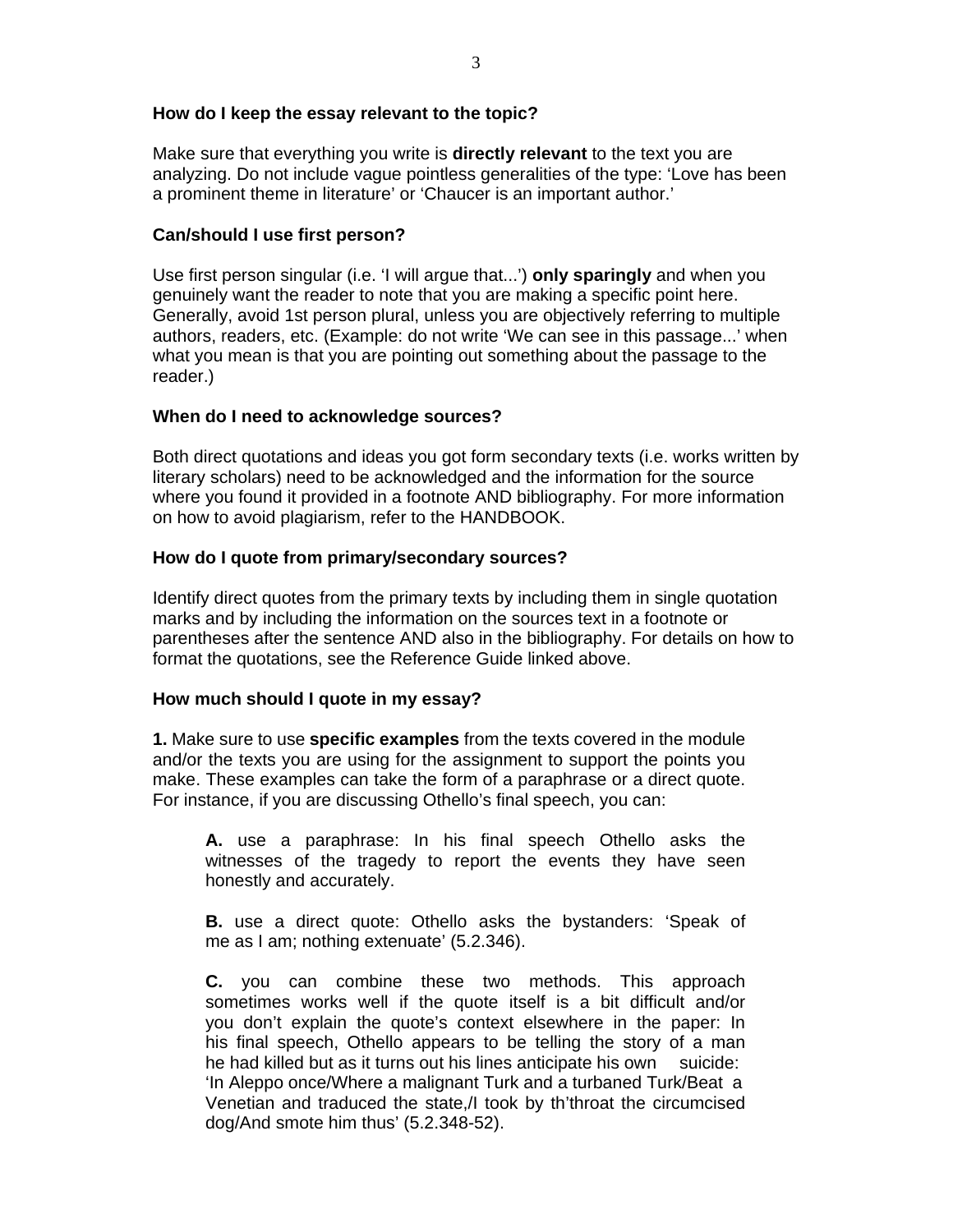### **How do I keep the essay relevant to the topic?**

Make sure that everything you write is **directly relevant** to the text you are analyzing. Do not include vague pointless generalities of the type: 'Love has been a prominent theme in literature' or 'Chaucer is an important author.'

### **Can/should I use first person?**

Use first person singular (i.e. 'I will argue that...') **only sparingly** and when you genuinely want the reader to note that you are making a specific point here. Generally, avoid 1st person plural, unless you are objectively referring to multiple authors, readers, etc. (Example: do not write 'We can see in this passage...' when what you mean is that you are pointing out something about the passage to the reader.)

### **When do I need to acknowledge sources?**

Both direct quotations and ideas you got form secondary texts (i.e. works written by literary scholars) need to be acknowledged and the information for the source where you found it provided in a footnote AND bibliography. For more information on how to avoid plagiarism, refer to the HANDBOOK.

# **How do I quote from primary/secondary sources?**

Identify direct quotes from the primary texts by including them in single quotation marks and by including the information on the sources text in a footnote or parentheses after the sentence AND also in the bibliography. For details on how to format the quotations, see the Reference Guide linked above.

# **How much should I quote in my essay?**

**1.** Make sure to use **specific examples** from the texts covered in the module and/or the texts you are using for the assignment to support the points you make. These examples can take the form of a paraphrase or a direct quote. For instance, if you are discussing Othello's final speech, you can:

 **A.** use a paraphrase: In his final speech Othello asks the witnesses of the tragedy to report the events they have seen honestly and accurately.

 **B.** use a direct quote: Othello asks the bystanders: 'Speak of me as I am; nothing extenuate' (5.2.346).

 **C.** you can combine these two methods. This approach sometimes works well if the quote itself is a bit difficult and/or you don't explain the quote's context elsewhere in the paper: In his final speech, Othello appears to be telling the story of a man he had killed but as it turns out his lines anticipate his own suicide: 'In Aleppo once/Where a malignant Turk and a turbaned Turk/Beat a Venetian and traduced the state,/I took by th'throat the circumcised dog/And smote him thus' (5.2.348-52).